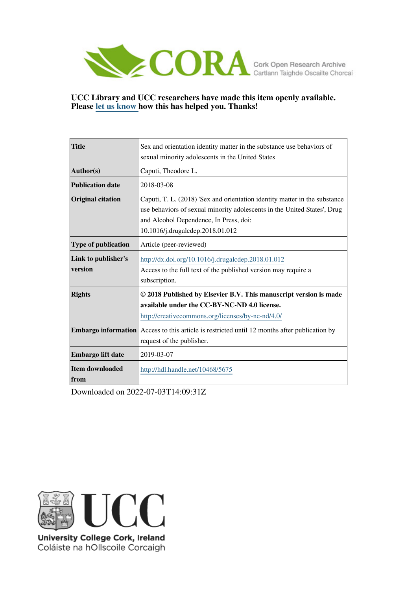

## **UCC Library and UCC researchers have made this item openly available. Please [let us know h](https://libguides.ucc.ie/openaccess/impact?suffix=5675&title=Sex and orientation identity matter in the substance use behaviors of sexual minority adolescents in the United States)ow this has helped you. Thanks!**

| <b>Title</b>                   | Sex and orientation identity matter in the substance use behaviors of                                                                                                                                                                |
|--------------------------------|--------------------------------------------------------------------------------------------------------------------------------------------------------------------------------------------------------------------------------------|
|                                | sexual minority adolescents in the United States                                                                                                                                                                                     |
| Author(s)                      | Caputi, Theodore L.                                                                                                                                                                                                                  |
| <b>Publication date</b>        | 2018-03-08                                                                                                                                                                                                                           |
| <b>Original citation</b>       | Caputi, T. L. (2018) 'Sex and orientation identity matter in the substance<br>use behaviors of sexual minority adolescents in the United States', Drug<br>and Alcohol Dependence, In Press, doi:<br>10.1016/j.drugalcdep.2018.01.012 |
| <b>Type of publication</b>     | Article (peer-reviewed)                                                                                                                                                                                                              |
| Link to publisher's<br>version | http://dx.doi.org/10.1016/j.drugalcdep.2018.01.012<br>Access to the full text of the published version may require a<br>subscription.                                                                                                |
| <b>Rights</b>                  | © 2018 Published by Elsevier B.V. This manuscript version is made<br>available under the CC-BY-NC-ND 4.0 license.<br>http://creativecommons.org/licenses/by-nc-nd/4.0/                                                               |
| <b>Embargo information</b>     | Access to this article is restricted until 12 months after publication by<br>request of the publisher.                                                                                                                               |
| Embargo lift date              | 2019-03-07                                                                                                                                                                                                                           |
| <b>Item downloaded</b><br>from | http://hdl.handle.net/10468/5675                                                                                                                                                                                                     |

Downloaded on 2022-07-03T14:09:31Z



University College Cork, Ireland Coláiste na hOllscoile Corcaigh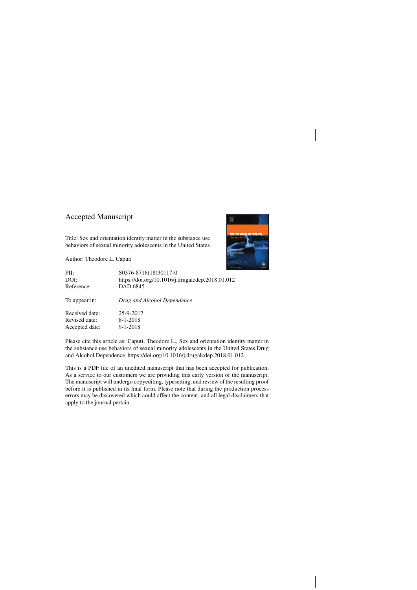## Accepted Manuscript

Title: Sex and orientation identity matter in the substance use behaviors of sexual minority adolescents in the United States

Author: Theodore L. Caputi



| PII:           | S0376-8716(18)30117-0                            |
|----------------|--------------------------------------------------|
| DOI:           | https://doi.org/10.1016/j.drugalcdep.2018.01.012 |
| Reference:     | <b>DAD 6845</b>                                  |
| To appear in:  | Drug and Alcohol Dependence                      |
| Received date: | 25-9-2017                                        |
| Revised date:  | $8-1-2018$                                       |
| Accepted date: | $9 - 1 - 2018$                                   |

Please cite this article as: Caputi, Theodore L., Sex and orientation identity matter in the substance use behaviors of sexual minority adolescents in the United States.Drug and Alcohol Dependence<https://doi.org/10.1016/j.drugalcdep.2018.01.012>

This is a PDF file of an unedited manuscript that has been accepted for publication. As a service to our customers we are providing this early version of the manuscript. The manuscript will undergo copyediting, typesetting, and review of the resulting proof before it is published in its final form. Please note that during the production process errors may be discovered which could affect the content, and all legal disclaimers that apply to the journal pertain.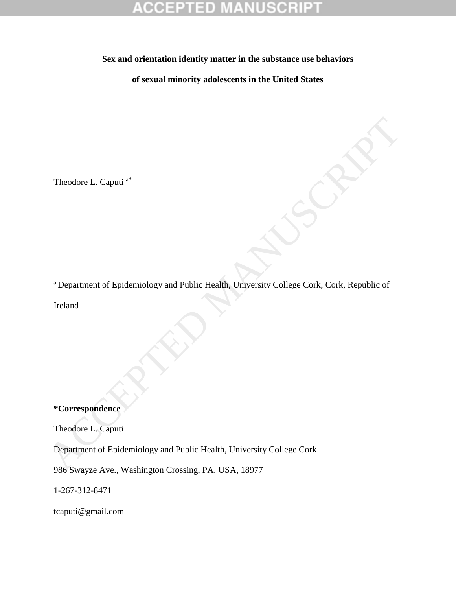**Sex and orientation identity matter in the substance use behaviors**

**of sexual minority adolescents in the United States**

Theodore L. Caputi a\*

<sup>a</sup> Department of Epidemiology and Public Health, University College Cork, Cork, Republic of Theodore L. Caputi <sup>a</sup><br>
\*Department of Epidemiology and Public Health, University College Cork, Cork, Republic of<br>
Ireland<br>
\*Correspondence<br>
Theodore L. Caputi<br>
\*Correspondence<br>
Theodore L. Caputi<br>
\*Correspondence<br>
Theodor

Ireland

## **\*Correspondence**

Theodore L. Caputi

Department of Epidemiology and Public Health, University College Cork

986 Swayze Ave., Washington Crossing, PA, USA, 18977

1-267-312-8471

[tcaputi@gmail.com](mailto:tcaputi@gmail.com)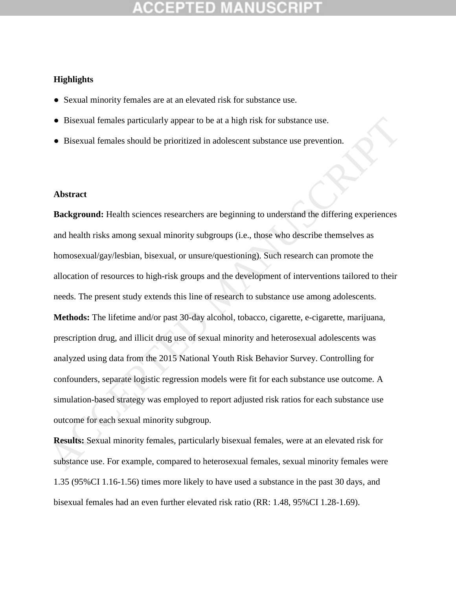## **Highlights**

- Sexual minority females are at an elevated risk for substance use.
- Bisexual females particularly appear to be at a high risk for substance use.
- Bisexual females should be prioritized in adolescent substance use prevention.

## **Abstract**

**Background:** Health sciences researchers are beginning to understand the differing experiences and health risks among sexual minority subgroups (i.e., those who describe themselves as homosexual/gay/lesbian, bisexual, or unsure/questioning). Such research can promote the allocation of resources to high-risk groups and the development of interventions tailored to their needs. The present study extends this line of research to substance use among adolescents. **Methods:** The lifetime and/or past 30-day alcohol, tobacco, cigarette, e-cigarette, marijuana, prescription drug, and illicit drug use of sexual minority and heterosexual adolescents was analyzed using data from the 2015 National Youth Risk Behavior Survey. Controlling for confounders, separate logistic regression models were fit for each substance use outcome. A simulation-based strategy was employed to report adjusted risk ratios for each substance use outcome for each sexual minority subgroup. **•** Bisexual females particularly appear to be at a high risk for substance use.<br>
• Bisexual females should be prioritized in adolescent substance use prevention.<br> **Abstract**<br> **Accelynomed:** Health sciences researchers ar

**Results:** Sexual minority females, particularly bisexual females, were at an elevated risk for substance use. For example, compared to heterosexual females, sexual minority females were 1.35 (95%CI 1.16-1.56) times more likely to have used a substance in the past 30 days, and bisexual females had an even further elevated risk ratio (RR: 1.48, 95%CI 1.28-1.69).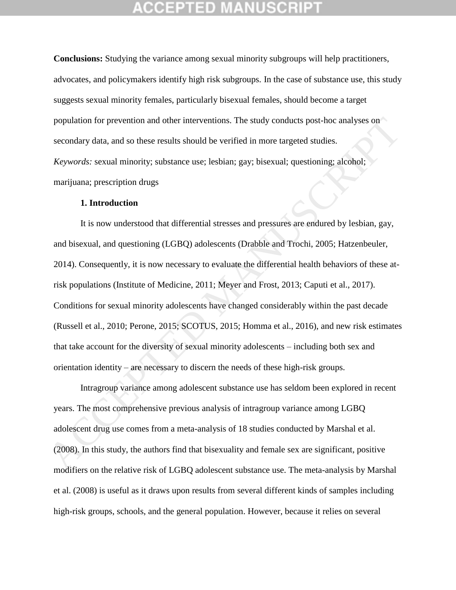**Conclusions:** Studying the variance among sexual minority subgroups will help practitioners, advocates, and policymakers identify high risk subgroups. In the case of substance use, this study suggests sexual minority females, particularly bisexual females, should become a target population for prevention and other interventions. The study conducts post-hoc analyses on secondary data, and so these results should be verified in more targeted studies. *Keywords:* sexual minority; substance use; lesbian; gay; bisexual; questioning; alcohol; marijuana; prescription drugs

### **1. Introduction**

It is now understood that differential stresses and pressures are endured by lesbian, gay, and bisexual, and questioning (LGBQ) adolescents (Drabble and Trochi, 2005; Hatzenbeuler, 2014). Consequently, it is now necessary to evaluate the differential health behaviors of these atrisk populations (Institute of Medicine, 2011; Meyer and Frost, 2013; Caputi et al., 2017). Conditions for sexual minority adolescents have changed considerably within the past decade (Russell et al., 2010; Perone, 2015; SCOTUS, 2015; Homma et al., 2016), and new risk estimates that take account for the diversity of sexual minority adolescents – including both sex and orientation identity – are necessary to discern the needs of these high-risk groups. population for prevention and other interventions. The study conducts post-hoc analyses on<br>secondary data, and so these results should be verified in more targeted studies.<br>*Keywords:* sexual minority; substance use; lesbi

Intragroup variance among adolescent substance use has seldom been explored in recent years. The most comprehensive previous analysis of intragroup variance among LGBQ adolescent drug use comes from a meta-analysis of 18 studies conducted by Marshal et al. (2008). In this study, the authors find that bisexuality and female sex are significant, positive modifiers on the relative risk of LGBQ adolescent substance use. The meta-analysis by Marshal et al. (2008) is useful as it draws upon results from several different kinds of samples including high-risk groups, schools, and the general population. However, because it relies on several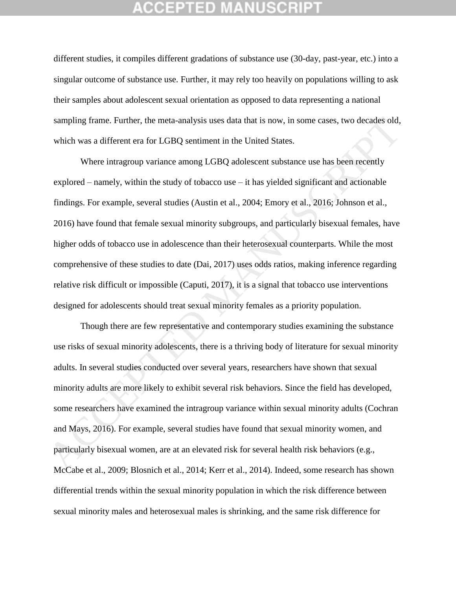## 12 2 11 2 D

different studies, it compiles different gradations of substance use (30-day, past-year, etc.) into a singular outcome of substance use. Further, it may rely too heavily on populations willing to ask their samples about adolescent sexual orientation as opposed to data representing a national sampling frame. Further, the meta-analysis uses data that is now, in some cases, two decades old, which was a different era for LGBQ sentiment in the United States.

Where intragroup variance among LGBQ adolescent substance use has been recently explored – namely, within the study of tobacco use – it has yielded significant and actionable findings. For example, several studies (Austin et al., 2004; Emory et al., 2016; Johnson et al., 2016) have found that female sexual minority subgroups, and particularly bisexual females, have higher odds of tobacco use in adolescence than their heterosexual counterparts. While the most comprehensive of these studies to date (Dai, 2017) uses odds ratios, making inference regarding relative risk difficult or impossible (Caputi, 2017), it is a signal that tobacco use interventions designed for adolescents should treat sexual minority females as a priority population. sampling frame. Further, the meta-analysis uses data that is now, in some cases, two decades old,<br>which was a different era for LGBQ sentiment in the United States.<br>Where intragroup variance among LGBQ adolescent substanc

Though there are few representative and contemporary studies examining the substance use risks of sexual minority adolescents, there is a thriving body of literature for sexual minority adults. In several studies conducted over several years, researchers have shown that sexual minority adults are more likely to exhibit several risk behaviors. Since the field has developed, some researchers have examined the intragroup variance within sexual minority adults (Cochran and Mays, 2016). For example, several studies have found that sexual minority women, and particularly bisexual women, are at an elevated risk for several health risk behaviors (e.g., McCabe et al., 2009; Blosnich et al., 2014; Kerr et al., 2014). Indeed, some research has shown differential trends within the sexual minority population in which the risk difference between sexual minority males and heterosexual males is shrinking, and the same risk difference for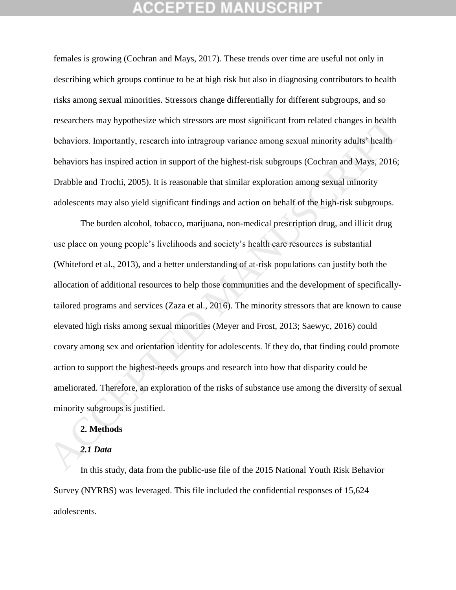## CEPTED

females is growing (Cochran and Mays, 2017). These trends over time are useful not only in describing which groups continue to be at high risk but also in diagnosing contributors to health risks among sexual minorities. Stressors change differentially for different subgroups, and so researchers may hypothesize which stressors are most significant from related changes in health behaviors. Importantly, research into intragroup variance among sexual minority adults' health behaviors has inspired action in support of the highest-risk subgroups (Cochran and Mays, 2016; Drabble and Trochi, 2005). It is reasonable that similar exploration among sexual minority adolescents may also yield significant findings and action on behalf of the high-risk subgroups.

The burden alcohol, tobacco, marijuana, non-medical prescription drug, and illicit drug use place on young people's livelihoods and society's health care resources is substantial (Whiteford et al., 2013), and a better understanding of at-risk populations can justify both the allocation of additional resources to help those communities and the development of specificallytailored programs and services (Zaza et al., 2016). The minority stressors that are known to cause elevated high risks among sexual minorities (Meyer and Frost, 2013; Saewyc, 2016) could covary among sex and orientation identity for adolescents. If they do, that finding could promote action to support the highest-needs groups and research into how that disparity could be ameliorated. Therefore, an exploration of the risks of substance use among the diversity of sexual minority subgroups is justified. researchers may hypothesize which stressors are most significant from related changes in health<br>bchaviors. Importantly, research into intragroup variance among sexual minority adults' health<br>bchaviors has inspired action i

## **2. Methods**

## *2.1 Data*

In this study, data from the public-use file of the 2015 National Youth Risk Behavior Survey (NYRBS) was leveraged. This file included the confidential responses of 15,624 adolescents.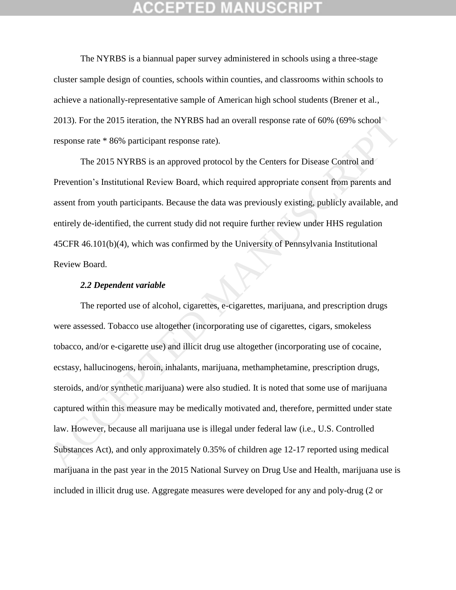The NYRBS is a biannual paper survey administered in schools using a three-stage cluster sample design of counties, schools within counties, and classrooms within schools to achieve a nationally-representative sample of American high school students (Brener et al., 2013). For the 2015 iteration, the NYRBS had an overall response rate of 60% (69% school response rate \* 86% participant response rate).

The 2015 NYRBS is an approved protocol by the Centers for Disease Control and Prevention's Institutional Review Board, which required appropriate consent from parents and assent from youth participants. Because the data was previously existing, publicly available, and entirely de-identified, the current study did not require further review under HHS regulation 45CFR 46.101(b)(4), which was confirmed by the University of Pennsylvania Institutional Review Board.

### *2.2 Dependent variable*

The reported use of alcohol, cigarettes, e-cigarettes, marijuana, and prescription drugs were assessed. Tobacco use altogether (incorporating use of cigarettes, cigars, smokeless tobacco, and/or e-cigarette use) and illicit drug use altogether (incorporating use of cocaine, ecstasy, hallucinogens, heroin, inhalants, marijuana, methamphetamine, prescription drugs, steroids, and/or synthetic marijuana) were also studied. It is noted that some use of marijuana captured within this measure may be medically motivated and, therefore, permitted under state law. However, because all marijuana use is illegal under federal law (i.e., U.S. Controlled Substances Act), and only approximately 0.35% of children age 12-17 reported using medical marijuana in the past year in the 2015 National Survey on Drug Use and Health, marijuana use is included in illicit drug use. Aggregate measures were developed for any and poly-drug (2 or 2013). For the 2015 iteration, the NYRBS had an overall response rate of 60% (69% school<br>response rate \* 86% participant response rate).<br>The 2015 NYRBS is an approved protocol by the Centers for Disease Control and<br>Prevent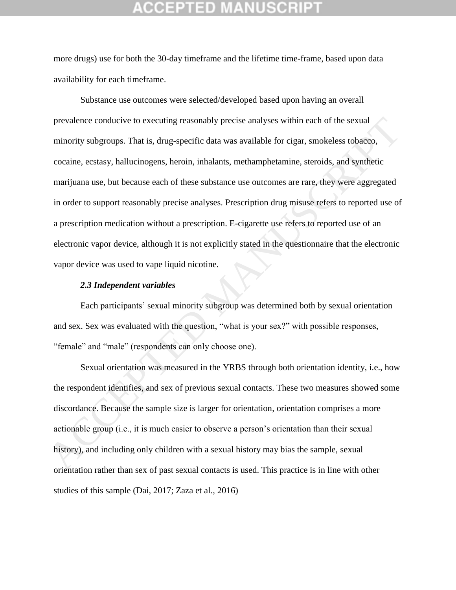more drugs) use for both the 30-day timeframe and the lifetime time-frame, based upon data availability for each timeframe.

Substance use outcomes were selected/developed based upon having an overall prevalence conducive to executing reasonably precise analyses within each of the sexual minority subgroups. That is, drug-specific data was available for cigar, smokeless tobacco, cocaine, ecstasy, hallucinogens, heroin, inhalants, methamphetamine, steroids, and synthetic marijuana use, but because each of these substance use outcomes are rare, they were aggregated in order to support reasonably precise analyses. Prescription drug misuse refers to reported use of a prescription medication without a prescription. E-cigarette use refers to reported use of an electronic vapor device, although it is not explicitly stated in the questionnaire that the electronic vapor device was used to vape liquid nicotine. prevalence conducive to executing reasonably precise analyses within each of the sexual<br>minority subgroups. That is, drug-specific data was available for cigar, smokeless tobacco,<br>cocaine, ecstasy, hallucinogens, heroin, i

### *2.3 Independent variables*

Each participants' sexual minority subgroup was determined both by sexual orientation and sex. Sex was evaluated with the question, "what is your sex?" with possible responses, "female" and "male" (respondents can only choose one).

Sexual orientation was measured in the YRBS through both orientation identity, i.e., how the respondent identifies, and sex of previous sexual contacts. These two measures showed some discordance. Because the sample size is larger for orientation, orientation comprises a more actionable group (i.e., it is much easier to observe a person's orientation than their sexual history), and including only children with a sexual history may bias the sample, sexual orientation rather than sex of past sexual contacts is used. This practice is in line with other studies of this sample (Dai, 2017; Zaza et al., 2016)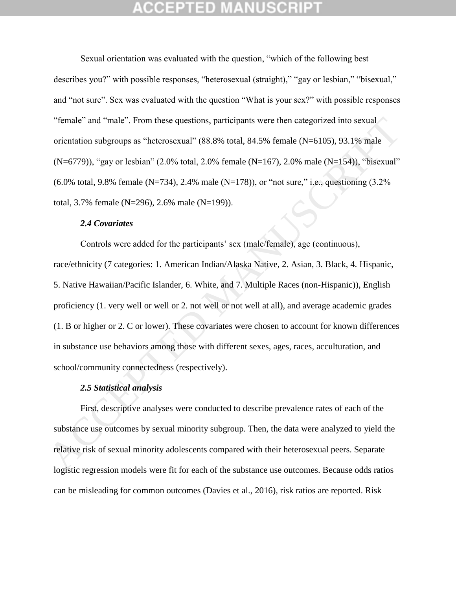# CEPTED

Sexual orientation was evaluated with the question, "which of the following best describes you?" with possible responses, "heterosexual (straight)," "gay or lesbian," "bisexual," and "not sure". Sex was evaluated with the question "What is your sex?" with possible responses "female" and "male". From these questions, participants were then categorized into sexual orientation subgroups as "heterosexual" (88.8% total, 84.5% female (N=6105), 93.1% male (N=6779)), "gay or lesbian" (2.0% total, 2.0% female (N=167), 2.0% male (N=154)), "bisexual"  $(6.0\% \text{ total}, 9.8\% \text{ female } (N=734), 2.4\% \text{ male } (N=178)),$  or "not sure," i.e., questioning  $(3.2\%$ total, 3.7% female (N=296), 2.6% male (N=199)).

### *2.4 Covariates*

Controls were added for the participants' sex (male/female), age (continuous), race/ethnicity (7 categories: 1. American Indian/Alaska Native, 2. Asian, 3. Black, 4. Hispanic, 5. Native Hawaiian/Pacific Islander, 6. White, and 7. Multiple Races (non-Hispanic)), English proficiency (1. very well or well or 2. not well or not well at all), and average academic grades (1. B or higher or 2. C or lower). These covariates were chosen to account for known differences in substance use behaviors among those with different sexes, ages, races, acculturation, and school/community connectedness (respectively). "female" and "male". From these questions, participants were then categorized into sexual<br>orientation subgroups as "hetcrosexual" (88.8% total, 84.5% female (N-6105), 93.1% male<br>(N=6779)), "gay or lesbian" (2.0% total, 2.

### *2.5 Statistical analysis*

First, descriptive analyses were conducted to describe prevalence rates of each of the substance use outcomes by sexual minority subgroup. Then, the data were analyzed to yield the relative risk of sexual minority adolescents compared with their heterosexual peers. Separate logistic regression models were fit for each of the substance use outcomes. Because odds ratios can be misleading for common outcomes (Davies et al., 2016), risk ratios are reported. Risk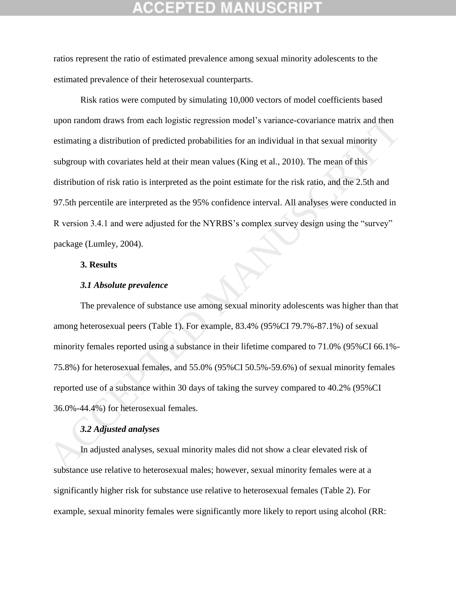# GEPTED

ratios represent the ratio of estimated prevalence among sexual minority adolescents to the estimated prevalence of their heterosexual counterparts.

Risk ratios were computed by simulating 10,000 vectors of model coefficients based upon random draws from each logistic regression model's variance-covariance matrix and then estimating a distribution of predicted probabilities for an individual in that sexual minority subgroup with covariates held at their mean values (King et al., 2010). The mean of this distribution of risk ratio is interpreted as the point estimate for the risk ratio, and the 2.5th and 97.5th percentile are interpreted as the 95% confidence interval. All analyses were conducted in R version 3.4.1 and were adjusted for the NYRBS's complex survey design using the "survey" package (Lumley, 2004). upon random draws from each logistic regression model's variance-covariance matrix and then<br>estimating a distribution of predicted probabilities for an individual in that sexual minority<br>subgroup with covariates held at he

## **3. Results**

### *3.1 Absolute prevalence*

The prevalence of substance use among sexual minority adolescents was higher than that among heterosexual peers (Table 1). For example, 83.4% (95%CI 79.7%-87.1%) of sexual minority females reported using a substance in their lifetime compared to 71.0% (95%CI 66.1%- 75.8%) for heterosexual females, and 55.0% (95%CI 50.5%-59.6%) of sexual minority females reported use of a substance within 30 days of taking the survey compared to 40.2% (95%CI 36.0%-44.4%) for heterosexual females.

## *3.2 Adjusted analyses*

In adjusted analyses, sexual minority males did not show a clear elevated risk of substance use relative to heterosexual males; however, sexual minority females were at a significantly higher risk for substance use relative to heterosexual females (Table 2). For example, sexual minority females were significantly more likely to report using alcohol (RR: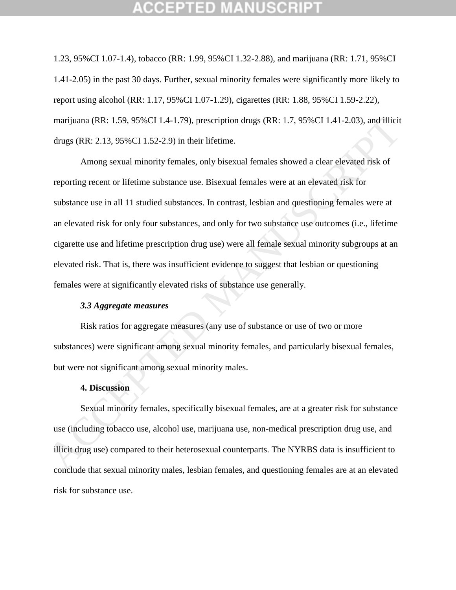1.23, 95%CI 1.07-1.4), tobacco (RR: 1.99, 95%CI 1.32-2.88), and marijuana (RR: 1.71, 95%CI 1.41-2.05) in the past 30 days. Further, sexual minority females were significantly more likely to report using alcohol (RR: 1.17, 95%CI 1.07-1.29), cigarettes (RR: 1.88, 95%CI 1.59-2.22), marijuana (RR: 1.59, 95%CI 1.4-1.79), prescription drugs (RR: 1.7, 95%CI 1.41-2.03), and illicit drugs (RR: 2.13, 95%CI 1.52-2.9) in their lifetime.

Among sexual minority females, only bisexual females showed a clear elevated risk of reporting recent or lifetime substance use. Bisexual females were at an elevated risk for substance use in all 11 studied substances. In contrast, lesbian and questioning females were at an elevated risk for only four substances, and only for two substance use outcomes (i.e., lifetime cigarette use and lifetime prescription drug use) were all female sexual minority subgroups at an elevated risk. That is, there was insufficient evidence to suggest that lesbian or questioning females were at significantly elevated risks of substance use generally. marijuana (RR: 1.59, 95%CI 1.4-1.79), prescription drugs (RR: 1.7, 95%CI 1.41-2.03), and illicid<br>drugs (RR: 2.13, 95%CI 1.52-2.9) in their lifetime.<br>Among sexual minority females, only bisexual females showed a clear elev

## *3.3 Aggregate measures*

Risk ratios for aggregate measures (any use of substance or use of two or more substances) were significant among sexual minority females, and particularly bisexual females, but were not significant among sexual minority males.

### **4. Discussion**

Sexual minority females, specifically bisexual females, are at a greater risk for substance use (including tobacco use, alcohol use, marijuana use, non-medical prescription drug use, and illicit drug use) compared to their heterosexual counterparts. The NYRBS data is insufficient to conclude that sexual minority males, lesbian females, and questioning females are at an elevated risk for substance use.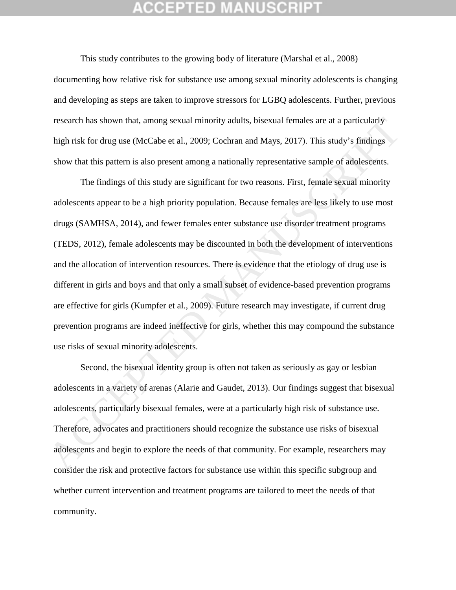## GEPTED

This study contributes to the growing body of literature (Marshal et al., 2008) documenting how relative risk for substance use among sexual minority adolescents is changing and developing as steps are taken to improve stressors for LGBQ adolescents. Further, previous research has shown that, among sexual minority adults, bisexual females are at a particularly high risk for drug use (McCabe et al., 2009; Cochran and Mays, 2017). This study's findings show that this pattern is also present among a nationally representative sample of adolescents.

The findings of this study are significant for two reasons. First, female sexual minority adolescents appear to be a high priority population. Because females are less likely to use most drugs (SAMHSA, 2014), and fewer females enter substance use disorder treatment programs (TEDS, 2012), female adolescents may be discounted in both the development of interventions and the allocation of intervention resources. There is evidence that the etiology of drug use is different in girls and boys and that only a small subset of evidence-based prevention programs are effective for girls (Kumpfer et al., 2009). Future research may investigate, if current drug prevention programs are indeed ineffective for girls, whether this may compound the substance use risks of sexual minority adolescents. research has shown that, among sexual minority adults, bisexual females are at a particularly<br>high risk for drug use (McCabe et al., 2009; Cochran and Mays, 2017). This study's findings<br>show that this pattern is also prese

Second, the bisexual identity group is often not taken as seriously as gay or lesbian adolescents in a variety of arenas (Alarie and Gaudet, 2013). Our findings suggest that bisexual adolescents, particularly bisexual females, were at a particularly high risk of substance use. Therefore, advocates and practitioners should recognize the substance use risks of bisexual adolescents and begin to explore the needs of that community. For example, researchers may consider the risk and protective factors for substance use within this specific subgroup and whether current intervention and treatment programs are tailored to meet the needs of that community.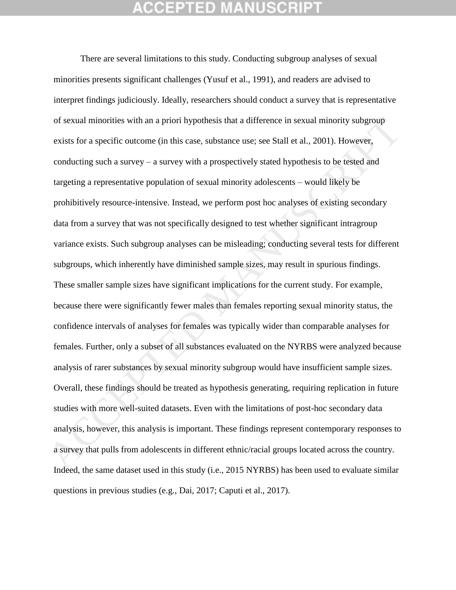## CEPTED

There are several limitations to this study. Conducting subgroup analyses of sexual minorities presents significant challenges (Yusuf et al., 1991), and readers are advised to interpret findings judiciously. Ideally, researchers should conduct a survey that is representative of sexual minorities with an a priori hypothesis that a difference in sexual minority subgroup exists for a specific outcome (in this case, substance use; see Stall et al., 2001). However, conducting such a survey – a survey with a prospectively stated hypothesis to be tested and targeting a representative population of sexual minority adolescents – would likely be prohibitively resource-intensive. Instead, we perform post hoc analyses of existing secondary data from a survey that was not specifically designed to test whether significant intragroup variance exists. Such subgroup analyses can be misleading; conducting several tests for different subgroups, which inherently have diminished sample sizes, may result in spurious findings. These smaller sample sizes have significant implications for the current study. For example, because there were significantly fewer males than females reporting sexual minority status, the confidence intervals of analyses for females was typically wider than comparable analyses for females. Further, only a subset of all substances evaluated on the NYRBS were analyzed because analysis of rarer substances by sexual minority subgroup would have insufficient sample sizes. Overall, these findings should be treated as hypothesis generating, requiring replication in future studies with more well-suited datasets. Even with the limitations of post-hoc secondary data analysis, however, this analysis is important. These findings represent contemporary responses to a survey that pulls from adolescents in different ethnic/racial groups located across the country. Indeed, the same dataset used in this study (i.e., 2015 NYRBS) has been used to evaluate similar questions in previous studies (e.g., Dai, 2017; Caputi et al., 2017). of sexual minorities with an a priori hypothesis that a difference in sexual minority subgroup<br>exists for a specific outcome (in this case, substance use; see Stull et al., 2001). However,<br>conducting such a survey – a surv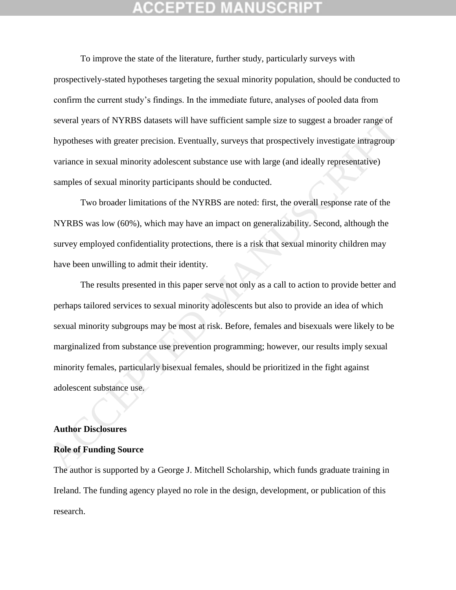To improve the state of the literature, further study, particularly surveys with prospectively-stated hypotheses targeting the sexual minority population, should be conducted to confirm the current study's findings. In the immediate future, analyses of pooled data from several years of NYRBS datasets will have sufficient sample size to suggest a broader range of hypotheses with greater precision. Eventually, surveys that prospectively investigate intragroup variance in sexual minority adolescent substance use with large (and ideally representative) samples of sexual minority participants should be conducted.

Two broader limitations of the NYRBS are noted: first, the overall response rate of the NYRBS was low (60%), which may have an impact on generalizability. Second, although the survey employed confidentiality protections, there is a risk that sexual minority children may have been unwilling to admit their identity.

The results presented in this paper serve not only as a call to action to provide better and perhaps tailored services to sexual minority adolescents but also to provide an idea of which sexual minority subgroups may be most at risk. Before, females and bisexuals were likely to be marginalized from substance use prevention programming; however, our results imply sexual minority females, particularly bisexual females, should be prioritized in the fight against adolescent substance use. several years of NYRBS datasets will have sufficient sample size to suggest a broader range of<br>hypotheses with greater precision. Eventually, surveys that prospectively investigate infragroup<br>variance in sexual minority ad

### **Author Disclosures**

### **Role of Funding Source**

The author is supported by a George J. Mitchell Scholarship, which funds graduate training in Ireland. The funding agency played no role in the design, development, or publication of this research.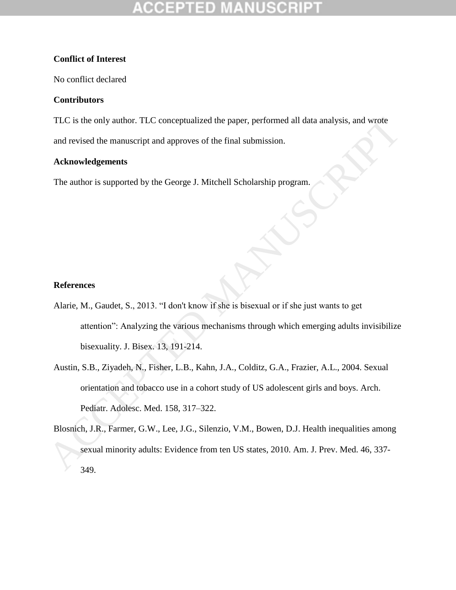## **Conflict of Interest**

No conflict declared

## **Contributors**

TLC is the only author. TLC conceptualized the paper, performed all data analysis, and wrote and revised the manuscript and approves of the final submission.

## **Acknowledgements**

The author is supported by the George J. Mitchell Scholarship program.

## **References**

- Alarie, M., Gaudet, S., 2013. "I don't know if she is bisexual or if she just wants to get attention": Analyzing the various mechanisms through which emerging adults invisibilize bisexuality. J. Bisex. 13, 191-214. TLC is the only author. TLC conceptualized the paper, performed all data analysis, and worde<br>
and revised the manuscript and approves of the final submission.<br>
<br> **Acknowledgements**<br>
The author is supported by the George J.
	- Austin, S.B., Ziyadeh, N., Fisher, L.B., Kahn, J.A., Colditz, G.A., Frazier, A.L., 2004. Sexual orientation and tobacco use in a cohort study of US adolescent girls and boys. Arch. Pediatr. Adolesc. Med. 158, 317–322.
	- Blosnich, J.R., Farmer, G.W., Lee, J.G., Silenzio, V.M., Bowen, D.J. Health inequalities among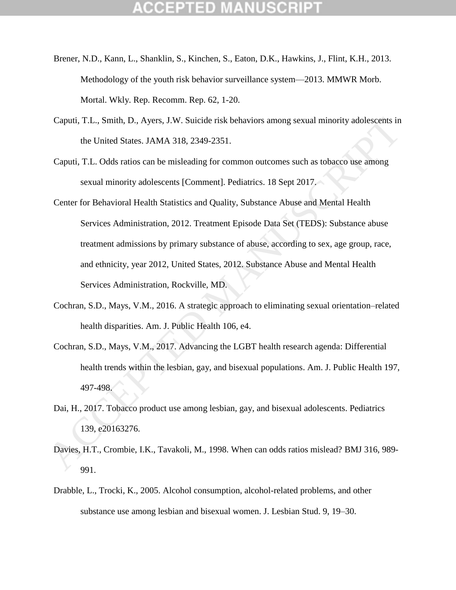## ICEPTED

- Brener, N.D., Kann, L., Shanklin, S., Kinchen, S., Eaton, D.K., Hawkins, J., Flint, K.H., 2013. Methodology of the youth risk behavior surveillance system—2013. MMWR Morb. Mortal. Wkly. Rep. Recomm. Rep. 62, 1-20.
- Caputi, T.L., Smith, D., Ayers, J.W. Suicide risk behaviors among sexual minority adolescents in the United States. JAMA 318, 2349-2351.
- Caputi, T.L. Odds ratios can be misleading for common outcomes such as tobacco use among sexual minority adolescents [Comment]. Pediatrics. 18 Sept 2017.
- Center for Behavioral Health Statistics and Quality, Substance Abuse and Mental Health Services Administration, 2012. Treatment Episode Data Set (TEDS): Substance abuse treatment admissions by primary substance of abuse, according to sex, age group, race, and ethnicity, year 2012, United States, 2012. Substance Abuse and Mental Health Services Administration, Rockville, MD. Caputi, T.L., Smith, D., Ayers, J.W. Suicide risk behaviors among sexual minority adolescents in<br>the United States. JAMA 318, 2349-2351.<br>Caputi, T.L. Odds ratios can be misleading for common outcomes such as tobacco use am
	- Cochran, S.D., Mays, V.M., 2016. A strategic approach to eliminating sexual orientation–related health disparities. Am. J. Public Health 106, e4.
	- Cochran, S.D., Mays, V.M., 2017. Advancing the LGBT health research agenda: Differential health trends within the lesbian, gay, and bisexual populations. Am. J. Public Health 197, 497-498.
	- Dai, H., 2017. Tobacco product use among lesbian, gay, and bisexual adolescents. Pediatrics 139, e20163276.
	- Davies, H.T., Crombie, I.K., Tavakoli, M., 1998. When can odds ratios mislead? BMJ 316, 989- 991.
	- Drabble, L., Trocki, K., 2005. Alcohol consumption, alcohol-related problems, and other substance use among lesbian and bisexual women. J. Lesbian Stud. 9, 19–30.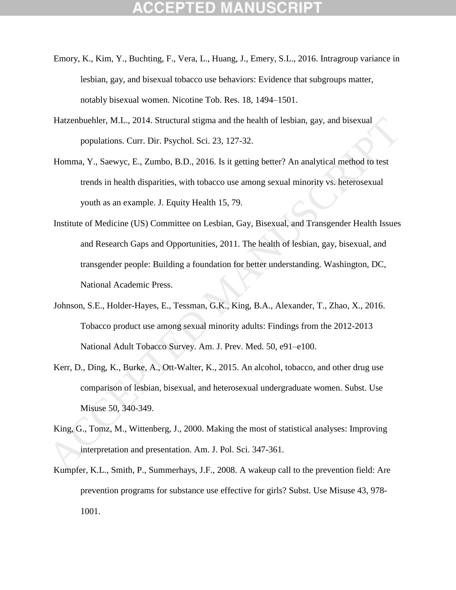- Emory, K., Kim, Y., Buchting, F., Vera, L., Huang, J., Emery, S.L., 2016. Intragroup variance in lesbian, gay, and bisexual tobacco use behaviors: Evidence that subgroups matter, notably bisexual women. Nicotine Tob. Res. 18, 1494–1501.
- Hatzenbuehler, M.L., 2014. Structural stigma and the health of lesbian, gay, and bisexual populations. Curr. Dir. Psychol. Sci. 23, 127-32.
- Homma, Y., Saewyc, E., Zumbo, B.D., 2016. Is it getting better? An analytical method to test trends in health disparities, with tobacco use among sexual minority vs. heterosexual youth as an example. J. Equity Health 15, 79.
- Institute of Medicine (US) Committee on Lesbian, Gay, Bisexual, and Transgender Health Issues and Research Gaps and Opportunities, 2011. The health of lesbian, gay, bisexual, and transgender people: Building a foundation for better understanding. Washington, DC, National Academic Press. Hatzenbuchler, M.L., 2014. Structural sigma and the health of lesbian, gay, and bisexual<br>populations. Curr. Dir. Psychol. Sci. 23, 127-32.<br>Homma, Y., Saewyc, E., Zumbo, B.D., 2016. Is it getting better? An analytical meth
	- Johnson, S.E., Holder-Hayes, E., Tessman, G.K., King, B.A., Alexander, T., Zhao, X., 2016. Tobacco product use among sexual minority adults: Findings from the 2012-2013 National Adult Tobacco Survey. Am. J. Prev. Med. 50, e91–e100.
	- Kerr, D., Ding, K., Burke, A., Ott-Walter, K., 2015. An alcohol, tobacco, and other drug use comparison of lesbian, bisexual, and heterosexual undergraduate women. Subst. Use Misuse 50, 340-349.
	- King, G., Tomz, M., Wittenberg, J., 2000. Making the most of statistical analyses: Improving interpretation and presentation. Am. J. Pol. Sci. 347-361.
	- Kumpfer, K.L., Smith, P., Summerhays, J.F., 2008. A wakeup call to the prevention field: Are prevention programs for substance use effective for girls? Subst. Use Misuse 43, 978- 1001.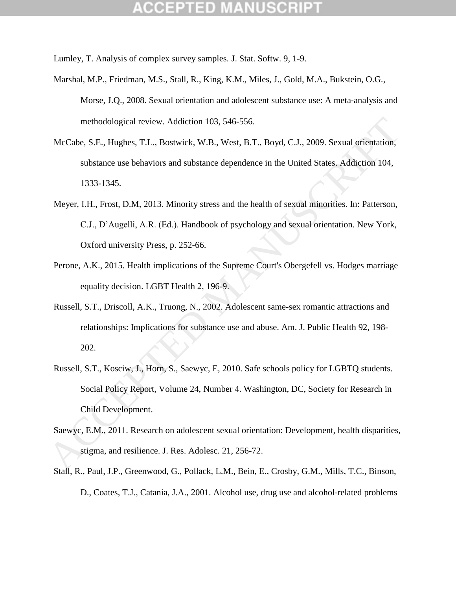Lumley, T. Analysis of complex survey samples. J. Stat. Softw. 9, 1-9.

- Marshal, M.P., Friedman, M.S., Stall, R., King, K.M., Miles, J., Gold, M.A., Bukstein, O.G., Morse, J.Q., 2008. Sexual orientation and adolescent substance use: A meta‐analysis and methodological review. Addiction 103, 546-556.
- McCabe, S.E., Hughes, T.L., Bostwick, W.B., West, B.T., Boyd, C.J., 2009. Sexual orientation, substance use behaviors and substance dependence in the United States. Addiction 104, 1333-1345.
- Meyer, I.H., Frost, D.M, 2013. Minority stress and the health of sexual minorities. In: Patterson, C.J., D'Augelli, A.R. (Ed.). Handbook of psychology and sexual orientation. New York, Oxford university Press, p. 252-66. methodological review. Addiction 103, 546-556.<br>
McCabe, S.E., Hughes, T.L., Bostwick, W.B., West, B.T., Boyd, C.J., 2009. Sexual orientation,<br>
substance use behaviors and substance dependence in the United States. Addictio
	- Perone, A.K., 2015. Health implications of the Supreme Court's Obergefell vs. Hodges marriage equality decision. LGBT Health 2, 196-9.
	- Russell, S.T., Driscoll, A.K., Truong, N., 2002. Adolescent same-sex romantic attractions and relationships: Implications for substance use and abuse. Am. J. Public Health 92, 198- 202.
	- Russell, S.T., Kosciw, J., Horn, S., Saewyc, E, 2010. Safe schools policy for LGBTQ students. Social Policy Report, Volume 24, Number 4. Washington, DC, Society for Research in Child Development.
	- Saewyc, E.M., 2011. Research on adolescent sexual orientation: Development, health disparities, stigma, and resilience. J. Res. Adolesc. 21, 256-72.
	- Stall, R., Paul, J.P., Greenwood, G., Pollack, L.M., Bein, E., Crosby, G.M., Mills, T.C., Binson, D., Coates, T.J., Catania, J.A., 2001. Alcohol use, drug use and alcohol-related problems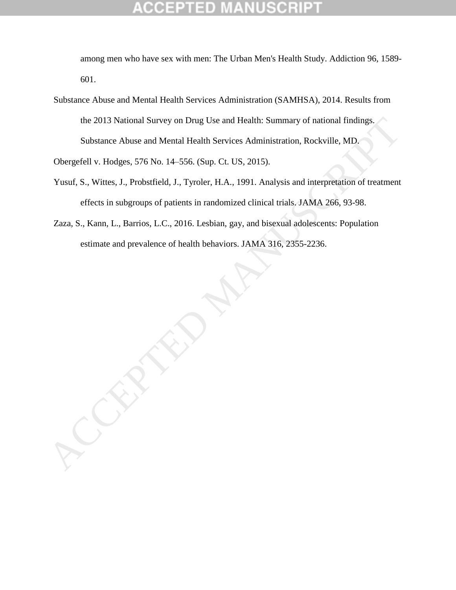# 10

among men who have sex with men: The Urban Men's Health Study. Addiction 96, 1589- 601.

Substance Abuse and Mental Health Services Administration (SAMHSA), 2014. Results from the 2013 National Survey on Drug Use and Health: Summary of national findings. Substance Abuse and Mental Health Services Administration, Rockville, MD.

Obergefell v. Hodges, 576 No. 14–556. (Sup. Ct. US, 2015).

- Yusuf, S., Wittes, J., Probstfield, J., Tyroler, H.A., 1991. Analysis and interpretation of treatment effects in subgroups of patients in randomized clinical trials. JAMA 266, 93-98.
- Zaza, S., Kann, L., Barrios, L.C., 2016. Lesbian, gay, and bisexual adolescents: Population estimate and prevalence of health behaviors. JAMA 316, 2355-2236.

the 2013 National Survey on Drug Use and Health: Summary of national findings,<br>Substance Abuse and Mental Health Services Administration, Rockville, MD.<br>Obergefell v. Hodges, 576 No. 14–556. (Sup. Ct. US, 2015).<br>Yusuf. S.,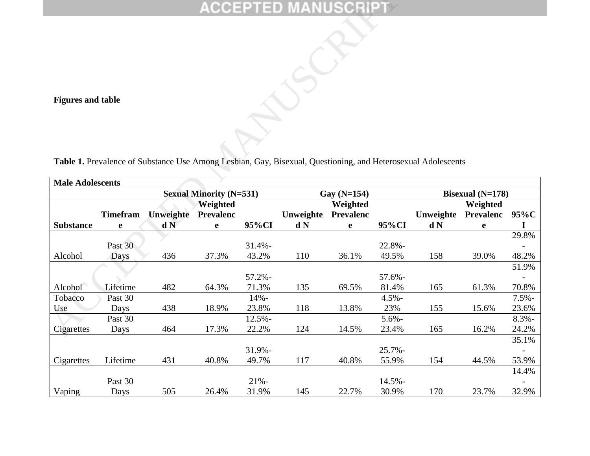|                          |                      |                  |                                |                  | <b>ACCEPTED MANUSCRIPT</b> |                       |                    |                                                                                                              |                         |                  |
|--------------------------|----------------------|------------------|--------------------------------|------------------|----------------------------|-----------------------|--------------------|--------------------------------------------------------------------------------------------------------------|-------------------------|------------------|
| <b>Figures and table</b> |                      |                  |                                |                  |                            |                       |                    |                                                                                                              |                         |                  |
|                          |                      |                  |                                |                  |                            |                       |                    | Table 1. Prevalence of Substance Use Among Lesbian, Gay, Bisexual, Questioning, and Heterosexual Adolescents |                         |                  |
| <b>Male Adolescents</b>  |                      |                  |                                |                  |                            |                       |                    |                                                                                                              |                         |                  |
|                          |                      |                  |                                |                  |                            |                       |                    |                                                                                                              |                         |                  |
|                          |                      |                  | <b>Sexual Minority (N=531)</b> |                  |                            | Gay (N=154)           |                    |                                                                                                              | <b>Bisexual</b> (N=178) |                  |
|                          |                      |                  | Weighted                       |                  |                            | Weighted              |                    |                                                                                                              | Weighted                |                  |
| <b>Substance</b>         | <b>Timefram</b><br>e | Unweighte<br>d N | <b>Prevalenc</b><br>e          | 95%CI            | Unweighte<br>d N           | <b>Prevalenc</b><br>e | 95%CI              | Unweighte<br>d N                                                                                             | <b>Prevalenc</b><br>e   | 95%C<br>$\bf{l}$ |
|                          |                      |                  |                                |                  |                            |                       |                    |                                                                                                              |                         | 29.8%            |
|                          | Past 30              |                  |                                | $31.4% -$        |                            |                       | 22.8%-             |                                                                                                              |                         |                  |
| Alcohol                  | <b>Days</b>          | 436              | 37.3%                          | 43.2%            | 110                        | 36.1%                 | 49.5%              | 158                                                                                                          | 39.0%                   | 48.2%            |
|                          |                      |                  |                                |                  |                            |                       |                    |                                                                                                              |                         | 51.9%            |
|                          |                      |                  |                                | $57.2% -$        |                            |                       | $57.6% -$          |                                                                                                              |                         |                  |
| Alcohol                  | Lifetime             | 482              | 64.3%                          | 71.3%            | 135                        | 69.5%                 | 81.4%              | 165                                                                                                          | 61.3%                   | 70.8%            |
| Tobacco                  | Past 30              |                  |                                | 14%-             |                            |                       | $4.5% -$           |                                                                                                              |                         | $7.5% -$         |
| Use                      | Days                 | 438              | 18.9%                          | 23.8%            | 118                        | 13.8%                 | 23%                | 155                                                                                                          | 15.6%                   | 23.6%            |
| Cigarettes               | Past 30              | 464              | 17.3%                          | $12.5% -$        |                            | 14.5%                 | $5.6\%$ -          |                                                                                                              |                         | $8.3\%$ -        |
|                          | Days                 |                  |                                | 22.2%            | 124                        |                       | 23.4%              | 165                                                                                                          | 16.2%                   | 24.2%<br>35.1%   |
|                          |                      |                  |                                | 31.9%-           |                            |                       | $25.7% -$          |                                                                                                              |                         |                  |
| Cigarettes               | Lifetime             | 431              | 40.8%                          | 49.7%            | 117                        | 40.8%                 | 55.9%              | 154                                                                                                          | 44.5%                   | 53.9%            |
|                          |                      |                  |                                |                  |                            |                       |                    |                                                                                                              |                         | 14.4%            |
| Vaping                   | Past 30<br>Days      | 505              | 26.4%                          | $21% -$<br>31.9% | 145                        | 22.7%                 | $14.5% -$<br>30.9% | 170                                                                                                          | 23.7%                   | 32.9%            |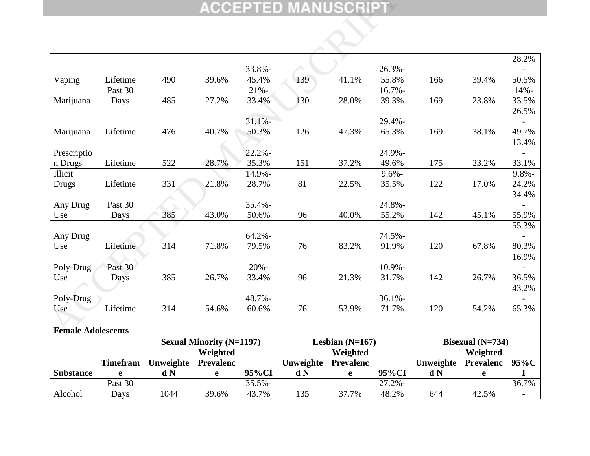|                           |                 |           |                                 |                | <b>ACCEPTED MANUSCRIPT</b> |                   |                 |           |                    |           |
|---------------------------|-----------------|-----------|---------------------------------|----------------|----------------------------|-------------------|-----------------|-----------|--------------------|-----------|
|                           |                 |           |                                 |                |                            |                   |                 |           |                    |           |
|                           |                 |           |                                 |                |                            |                   |                 |           |                    |           |
|                           |                 |           |                                 |                |                            |                   |                 |           |                    |           |
|                           |                 |           |                                 |                |                            |                   |                 |           |                    | 28.2%     |
|                           |                 |           |                                 | 33.8%-         |                            |                   | $26.3% -$       |           |                    |           |
| Vaping                    | Lifetime        | 490       | 39.6%                           | 45.4%          | 139                        | 41.1%             | 55.8%           | 166       | 39.4%              | 50.5%     |
|                           | Past 30         |           |                                 | $21% -$        |                            |                   | $16.7% -$       |           |                    | $14% -$   |
| Marijuana                 | Days            | 485       | 27.2%                           | 33.4%          | 130                        | 28.0%             | 39.3%           | 169       | 23.8%              | 33.5%     |
|                           |                 |           |                                 |                |                            |                   |                 |           |                    | 26.5%     |
|                           |                 |           |                                 | 31.1%          |                            |                   | 29.4%-          |           |                    |           |
| Marijuana                 | Lifetime        | 476       | 40.7%                           | 50.3%          | 126                        | 47.3%             | 65.3%           | 169       | 38.1%              | 49.7%     |
|                           |                 |           |                                 |                |                            |                   |                 |           |                    | 13.4%     |
| Prescriptio               | Lifetime        | 522       | 28.7%                           | 22.2%<br>35.3% | 151                        | 37.2%             | 24.9%-<br>49.6% | 175       | 23.2%              | 33.1%     |
| n Drugs<br>Illicit        |                 |           |                                 | 14.9%-         |                            |                   | $9.6% -$        |           |                    | $9.8\%$ - |
| <b>Drugs</b>              | Lifetime        | 331       | 21.8%                           | 28.7%          | 81                         | 22.5%             | 35.5%           | 122       | 17.0%              | 24.2%     |
|                           |                 |           |                                 |                |                            |                   |                 |           |                    | 34.4%     |
| Any Drug                  | Past 30         |           |                                 | 35.4%-         |                            |                   | 24.8%-          |           |                    |           |
| Use                       | Days            | 385       | 43.0%                           | 50.6%          | 96                         | 40.0%             | 55.2%           | 142       | 45.1%              | 55.9%     |
|                           |                 |           |                                 |                |                            |                   |                 |           |                    | 55.3%     |
| Any Drug                  |                 |           |                                 | $64.2% -$      |                            |                   | 74.5%-          |           |                    |           |
| Use                       | Lifetime        | 314       | 71.8%                           | 79.5%          | 76                         | 83.2%             | 91.9%           | 120       | 67.8%              | 80.3%     |
|                           |                 |           |                                 |                |                            |                   |                 |           |                    | 16.9%     |
| Poly-Drug                 | Past 30         |           |                                 | $20% -$        |                            |                   | 10.9%-          |           |                    |           |
| Use                       | Days            | 385       | 26.7%                           | 33.4%          | 96                         | 21.3%             | 31.7%           | 142       | 26.7%              | 36.5%     |
|                           |                 |           |                                 |                |                            |                   |                 |           |                    | 43.2%     |
| Poly-Drug                 |                 |           |                                 | 48.7%-         |                            |                   | $36.1\%$ -      |           |                    |           |
| Use                       | Lifetime        | 314       | 54.6%                           | 60.6%          | 76                         | 53.9%             | 71.7%           | 120       | 54.2%              | 65.3%     |
|                           |                 |           |                                 |                |                            |                   |                 |           |                    |           |
| <b>Female Adolescents</b> |                 |           |                                 |                |                            |                   |                 |           |                    |           |
|                           |                 |           | <b>Sexual Minority (N=1197)</b> |                |                            | Lesbian $(N=167)$ |                 |           | Bisexual $(N=734)$ |           |
|                           |                 |           | Weighted                        |                |                            | Weighted          |                 |           | Weighted           |           |
|                           | <b>Timefram</b> | Unweighte | <b>Prevalenc</b>                |                | Unweighte                  | Prevalenc         |                 | Unweighte | Prevalenc          | $95\%C$   |
| <b>Substance</b>          | e               | d N       | e                               | 95%CI          | d N                        | $\mathbf e$       | 95%CI           | d N       | e                  |           |
|                           | Past 30         |           |                                 | $35.5% -$      |                            |                   | $27.2% -$       |           |                    | 36.7%     |
| Alcohol                   | Days            | 1044      | 39.6%                           | 43.7%          | 135                        | 37.7%             | 48.2%           | 644       | 42.5%              |           |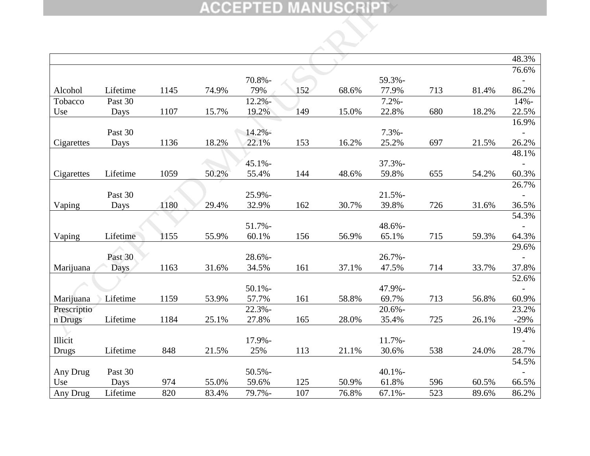|                        |          |      |       |                 |     | <b>ACCEPTED MANUSCRIPT</b> |                    |     |       |                |
|------------------------|----------|------|-------|-----------------|-----|----------------------------|--------------------|-----|-------|----------------|
|                        |          |      |       |                 |     |                            |                    |     |       |                |
|                        |          |      |       |                 |     |                            |                    |     |       |                |
|                        |          |      |       |                 |     |                            |                    |     |       |                |
|                        |          |      |       |                 |     |                            |                    |     |       | 48.3%<br>76.6% |
|                        |          |      |       | 70.8%-          |     |                            | 59.3%-             |     |       |                |
| Alcohol                | Lifetime | 1145 | 74.9% | 79%             | 152 | 68.6%                      | 77.9%              | 713 | 81.4% | 86.2%          |
| Tobacco                | Past 30  |      |       | $12.2% -$       |     |                            | $7.2% -$           |     |       | $14% -$        |
| Use                    | Days     | 1107 | 15.7% | 19.2%           | 149 | 15.0%                      | 22.8%              | 680 | 18.2% | 22.5%          |
|                        |          |      |       |                 |     |                            |                    |     |       | 16.9%          |
|                        | Past 30  |      |       | $14.2% -$       |     |                            | $7.3% -$           |     |       |                |
| Cigarettes             | Days     | 1136 | 18.2% | 22.1%           | 153 | 16.2%                      | 25.2%              | 697 | 21.5% | 26.2%          |
|                        |          |      |       |                 |     |                            |                    |     |       | 48.1%          |
|                        | Lifetime | 1059 | 50.2% | $45.1% -$       | 144 | 48.6%                      | $37.3% -$          | 655 | 54.2% |                |
| Cigarettes             |          |      |       | 55.4%           |     |                            | 59.8%              |     |       | 60.3%<br>26.7% |
|                        | Past 30  |      |       | 25.9%-          |     |                            | $21.5% -$          |     |       |                |
| Vaping                 | Days     | 1180 | 29.4% | 32.9%           | 162 | 30.7%                      | 39.8%              | 726 | 31.6% | 36.5%          |
|                        |          |      |       |                 |     |                            |                    |     |       | 54.3%          |
|                        |          |      |       | $51.7% -$       |     |                            | 48.6%-             |     |       |                |
| Vaping                 | Lifetime | 1155 | 55.9% | 60.1%           | 156 | 56.9%                      | 65.1%              | 715 | 59.3% | 64.3%          |
|                        |          |      |       |                 |     |                            |                    |     |       | 29.6%          |
|                        | Past 30  |      |       | $28.6% -$       |     |                            | $26.7% -$          |     |       |                |
| Marijuana              | Days     | 1163 | 31.6% | 34.5%           | 161 | 37.1%                      | 47.5%              | 714 | 33.7% | 37.8%          |
|                        |          |      |       |                 |     |                            |                    |     |       | 52.6%          |
|                        |          |      |       | 50.1%           |     |                            | 47.9%-             |     |       |                |
| Marijuana              | Lifetime | 1159 | 53.9% | 57.7%<br>22.3%- | 161 | 58.8%                      | 69.7%<br>$20.6% -$ | 713 | 56.8% | 60.9%<br>23.2% |
| Prescriptio<br>n Drugs | Lifetime | 1184 | 25.1% | 27.8%           | 165 | 28.0%                      | 35.4%              | 725 | 26.1% | $-29%$         |
|                        |          |      |       |                 |     |                            |                    |     |       | 19.4%          |
| Illicit                |          |      |       | 17.9%-          |     |                            | $11.7% -$          |     |       |                |
| <b>Drugs</b>           | Lifetime | 848  | 21.5% | 25%             | 113 | 21.1%                      | 30.6%              | 538 | 24.0% | 28.7%          |
|                        |          |      |       |                 |     |                            |                    |     |       | 54.5%          |
| Any Drug               | Past 30  |      |       | $50.5% -$       |     |                            | $40.1% -$          |     |       |                |
| Use                    | Days     | 974  | 55.0% | 59.6%           | 125 | 50.9%                      | 61.8%              | 596 | 60.5% | 66.5%          |
| Any Drug               | Lifetime | 820  | 83.4% | 79.7%-          | 107 | 76.8%                      | $67.1% -$          | 523 | 89.6% | 86.2%          |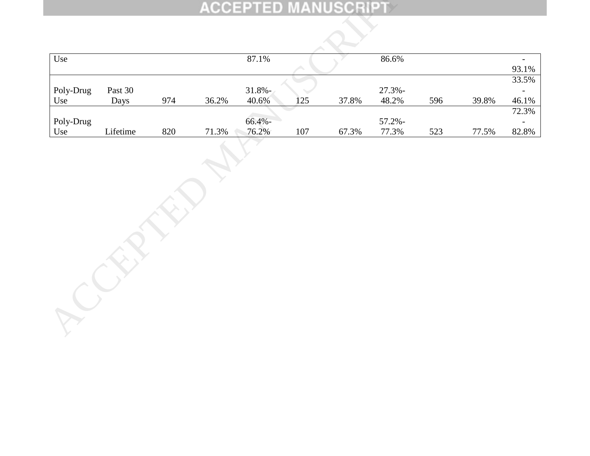|           |          |     |       |            |         | <b>ACCEPTED MANUSCRIPT</b> |           |     |       |                          |
|-----------|----------|-----|-------|------------|---------|----------------------------|-----------|-----|-------|--------------------------|
|           |          |     |       |            |         |                            |           |     |       |                          |
| Use       |          |     |       | 87.1%      |         |                            | 86.6%     |     |       | $\overline{\phantom{a}}$ |
|           |          |     |       |            |         |                            |           |     |       | 93.1%                    |
|           |          |     |       |            |         |                            |           |     |       | 33.5%                    |
| Poly-Drug | Past 30  |     |       | $31.8\%$ - |         |                            | $27.3% -$ |     |       | $\overline{a}$           |
| Use       | Days     | 974 | 36.2% | 40.6%      | 125     | 37.8%                      | 48.2%     | 596 | 39.8% | 46.1%                    |
| Poly-Drug |          |     |       | $66.4% -$  |         |                            | $57.2% -$ |     |       | 72.3%<br>$\blacksquare$  |
| Use       | Lifetime | 820 | 71.3% | 76.2%      | $107\,$ | 67.3%                      | 77.3%     | 523 | 77.5% | 82.8%                    |
|           |          |     |       |            |         |                            |           |     |       |                          |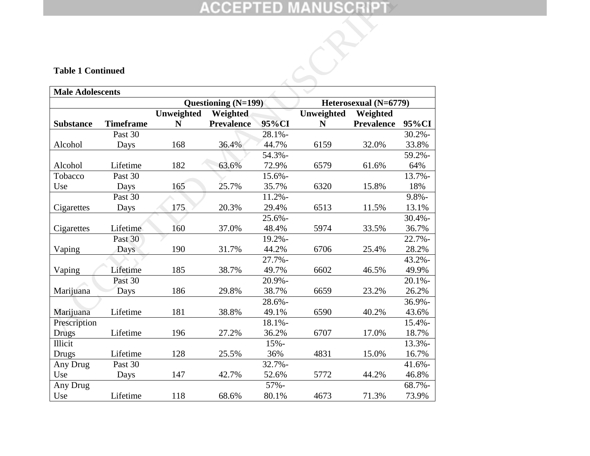## **Table 1 Continued**

|                         |                          |            |                     |           | ACCEPTED MANUSCRIPT $\overline{\phantom{a}}$ |                       |           |  |  |  |  |
|-------------------------|--------------------------|------------|---------------------|-----------|----------------------------------------------|-----------------------|-----------|--|--|--|--|
|                         | <b>Table 1 Continued</b> |            |                     |           |                                              |                       |           |  |  |  |  |
| <b>Male Adolescents</b> |                          |            |                     |           |                                              |                       |           |  |  |  |  |
|                         |                          |            | Questioning (N=199) |           |                                              | Heterosexual (N=6779) |           |  |  |  |  |
|                         |                          | Unweighted | Weighted            |           | Unweighted                                   | Weighted              |           |  |  |  |  |
| <b>Substance</b>        | <b>Timeframe</b>         | N          | <b>Prevalence</b>   | 95%CI     | N                                            | <b>Prevalence</b>     | 95%CI     |  |  |  |  |
|                         | Past 30                  |            |                     | 28.1%-    |                                              |                       | $30.2% -$ |  |  |  |  |
| Alcohol                 | Days                     | 168        | 36.4%               | 44.7%     | 6159                                         | 32.0%                 | 33.8%     |  |  |  |  |
|                         |                          |            |                     | 54.3%-    |                                              |                       | 59.2%-    |  |  |  |  |
| Alcohol                 | Lifetime                 | 182        | 63.6%               | 72.9%     | 6579                                         | 61.6%                 | 64%       |  |  |  |  |
| Tobacco                 | Past 30                  |            |                     | 15.6%-    |                                              |                       | 13.7%-    |  |  |  |  |
| Use                     | Days                     | 165        | 25.7%               | 35.7%     | 6320                                         | 15.8%                 | 18%       |  |  |  |  |
|                         | Past 30                  |            |                     | $11.2% -$ |                                              |                       | $9.8% -$  |  |  |  |  |
| Cigarettes              | Days                     | 175        | 20.3%               | 29.4%     | 6513                                         | 11.5%                 | 13.1%     |  |  |  |  |
|                         |                          |            |                     | $25.6% -$ |                                              |                       | $30.4% -$ |  |  |  |  |
| Cigarettes              | Lifetime                 | 160        | 37.0%               | 48.4%     | 5974                                         | 33.5%                 | 36.7%     |  |  |  |  |
|                         | Past 30                  |            |                     | 19.2%-    |                                              |                       | $22.7% -$ |  |  |  |  |
| Vaping                  | Days                     | 190        | 31.7%               | 44.2%     | 6706                                         | 25.4%                 | 28.2%     |  |  |  |  |
|                         |                          |            |                     | $27.7% -$ |                                              |                       | $43.2% -$ |  |  |  |  |
| Vaping                  | Lifetime                 | 185        | 38.7%               | 49.7%     | 6602                                         | 46.5%                 | 49.9%     |  |  |  |  |
|                         | Past 30                  |            |                     | 20.9%-    |                                              |                       | 20.1%     |  |  |  |  |
| Marijuana               | Days                     | 186        | 29.8%               | 38.7%     | 6659                                         | 23.2%                 | 26.2%     |  |  |  |  |
|                         |                          |            |                     | 28.6%-    |                                              |                       | 36.9%-    |  |  |  |  |
| Marijuana               | Lifetime                 | 181        | 38.8%               | 49.1%     | 6590                                         | 40.2%                 | 43.6%     |  |  |  |  |
| Prescription            |                          |            |                     | $18.1% -$ |                                              |                       | $15.4% -$ |  |  |  |  |
| <b>Drugs</b>            | Lifetime                 | 196        | 27.2%               | 36.2%     | 6707                                         | 17.0%                 | 18.7%     |  |  |  |  |
| Illicit                 |                          |            |                     | $15% -$   |                                              |                       | 13.3%-    |  |  |  |  |
| Drugs                   | Lifetime                 | 128        | 25.5%               | 36%       | 4831                                         | 15.0%                 | 16.7%     |  |  |  |  |
| Any Drug                | Past 30                  |            |                     | 32.7%-    |                                              |                       | $41.6% -$ |  |  |  |  |
| Use                     | Days                     | 147        | 42.7%               | 52.6%     | 5772                                         | 44.2%                 | 46.8%     |  |  |  |  |
| Any Drug                |                          |            |                     | 57%-      |                                              |                       | 68.7%-    |  |  |  |  |
| Use                     | Lifetime                 | 118        | 68.6%               | 80.1%     | 4673                                         | 71.3%                 | 73.9%     |  |  |  |  |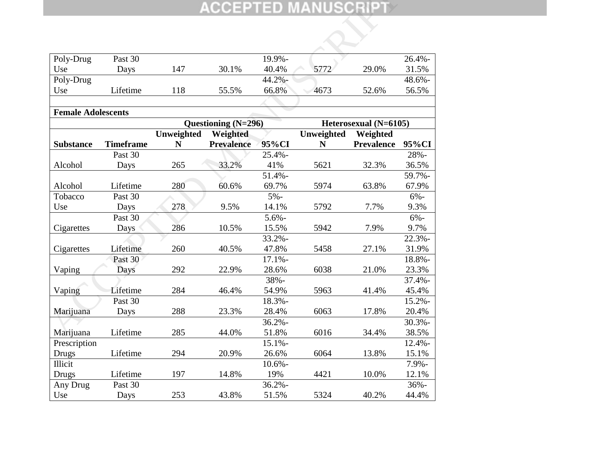|                           |                  |            |                     |           | <b>ACCEPTED MANUSCRIPT</b> |                       |           |
|---------------------------|------------------|------------|---------------------|-----------|----------------------------|-----------------------|-----------|
|                           |                  |            |                     |           |                            |                       |           |
|                           |                  |            |                     |           |                            |                       |           |
|                           |                  |            |                     |           |                            |                       |           |
| Poly-Drug                 | Past 30          |            |                     | 19.9%-    |                            |                       | $26.4% -$ |
| Use                       | Days             | 147        | 30.1%               | 40.4%     | 5772                       | 29.0%                 | 31.5%     |
| Poly-Drug                 |                  |            |                     | 44.2%-    |                            |                       | 48.6%-    |
| Use                       | Lifetime         | 118        | 55.5%               | 66.8%     | 4673                       | 52.6%                 | 56.5%     |
|                           |                  |            |                     |           |                            |                       |           |
| <b>Female Adolescents</b> |                  |            |                     |           |                            |                       |           |
|                           |                  |            | Questioning (N=296) |           |                            | Heterosexual (N=6105) |           |
|                           |                  | Unweighted | Weighted            |           | Unweighted                 | Weighted              |           |
| <b>Substance</b>          | <b>Timeframe</b> | N          | <b>Prevalence</b>   | 95%CI     | N                          | <b>Prevalence</b>     | 95%CI     |
|                           | Past 30          |            |                     | $25.4% -$ |                            |                       | 28%-      |
| Alcohol                   | Days             | 265        | 33.2%               | 41%       | 5621                       | 32.3%                 | 36.5%     |
|                           |                  |            |                     | $51.4% -$ |                            |                       | 59.7%-    |
| Alcohol                   | Lifetime         | 280        | 60.6%               | 69.7%     | 5974                       | 63.8%                 | 67.9%     |
| Tobacco                   | Past 30          |            |                     | $5% -$    |                            |                       | $6% -$    |
| Use                       | Days             | 278        | 9.5%                | 14.1%     | 5792                       | 7.7%                  | 9.3%      |
|                           | Past 30          |            |                     | $5.6% -$  |                            |                       | $6% -$    |
| Cigarettes                | Days             | 286        | 10.5%               | 15.5%     | 5942                       | 7.9%                  | 9.7%      |
|                           |                  |            |                     | $33.2% -$ |                            |                       | 22.3%     |
| Cigarettes                | Lifetime         | 260        | 40.5%               | 47.8%     | 5458                       | 27.1%                 | 31.9%     |
|                           | Past 30          |            |                     | $17.1% -$ |                            |                       | 18.8%-    |
| Vaping                    | Days             | 292        | 22.9%               | 28.6%     | 6038                       | 21.0%                 | 23.3%     |
|                           |                  |            |                     | 38%-      |                            |                       | $37.4% -$ |
| Vaping                    | Lifetime         | 284        | 46.4%               | 54.9%     | 5963                       | 41.4%                 | 45.4%     |
|                           | Past 30          |            |                     | 18.3%-    |                            |                       | $15.2% -$ |
| Marijuana                 | Days             | 288        | 23.3%               | 28.4%     | 6063                       | 17.8%                 | 20.4%     |
|                           |                  |            |                     | $36.2% -$ |                            |                       | $30.3%$ - |
| Marijuana                 | Lifetime         | 285        | 44.0%               | 51.8%     | 6016                       | 34.4%                 | 38.5%     |
| Prescription              |                  |            |                     | $15.1% -$ |                            |                       | $12.4% -$ |
| Drugs                     | Lifetime         | 294        | 20.9%               | 26.6%     | 6064                       | 13.8%                 | 15.1%     |
| Illicit                   |                  |            |                     | $10.6% -$ |                            |                       | 7.9%-     |
| Drugs                     | Lifetime         | 197        | 14.8%               | 19%       | 4421                       | 10.0%                 | 12.1%     |
| Any Drug                  | Past 30          |            |                     | $36.2% -$ |                            |                       | 36%-      |
| Use                       | Days             | 253        | 43.8%               | 51.5%     | 5324                       | 40.2%                 | 44.4%     |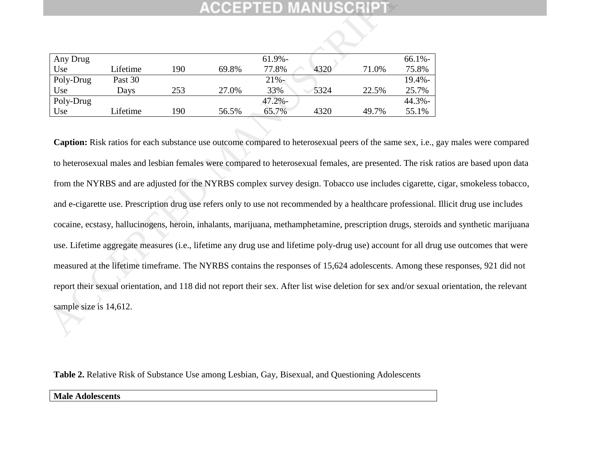| Any Drug  |          |     |       | $61.9\%$ - |      |       | $66.1\%$  |
|-----------|----------|-----|-------|------------|------|-------|-----------|
| Use       | Lifetime | 190 | 69.8% | 77.8%      | 4320 | 71.0% | 75.8%     |
| Poly-Drug | Past 30  |     |       | $21% -$    |      |       | $19.4% -$ |
| Use       | Davs     | 253 | 27.0% | 33%        | 5324 | 22.5% | 25.7%     |
| Poly-Drug |          |     |       | $47.2\%$ - |      |       | 44.3%-    |
| Use       | Lifetime | 190 | 56.5% | 65.7%      | 4320 | 49.7% | 55.1%     |

Caption: Risk ratios for each substance use outcome compared to heterosexual peers of the same sex, i.e., gay males were compared to heterosexual males and lesbian females were compared to heterosexual females, are presented. The risk ratios are based upon data from the NYRBS and are adjusted for the NYRBS complex survey design. Tobacco use includes cigarette, cigar, smokeless tobacco, and e-cigarette use. Prescription drug use refers only to use not recommended by a healthcare professional. Illicit drug use includes cocaine, ecstasy, hallucinogens, heroin, inhalants, marijuana, methamphetamine, prescription drugs, steroids and synthetic marijuana use. Lifetime aggregate measures (i.e., lifetime any drug use and lifetime poly-drug use) account for all drug use outcomes that were measured at the lifetime timeframe. The NYRBS contains the responses of 15,624 adolescents. Among these responses, 921 did not report their sexual orientation, and 118 did not report their sex. After list wise deletion for sex and/or sexual orientation, the relevant sample size is 14,612.  $\frac{\text{Avg Drug}}{\text{PolyDrug}}$ <br>
Lifetime 190 69.8% 77.8% 4320 71.0%<br>
Use Lifetime 190 69.8% 77.8% 4320 71.0%<br>
Use Days 253 27.0% 33% 5324 22.5%<br>
Use Lifetime 190 56.5% 65.7% 4320 49.7%<br>
Use Lifetime 190 56.5% 65.7% 4320 49.7%<br>
Caption

**Table 2.** Relative Risk of Substance Use among Lesbian, Gay, Bisexual, and Questioning Adolescents

**Male Adolescents**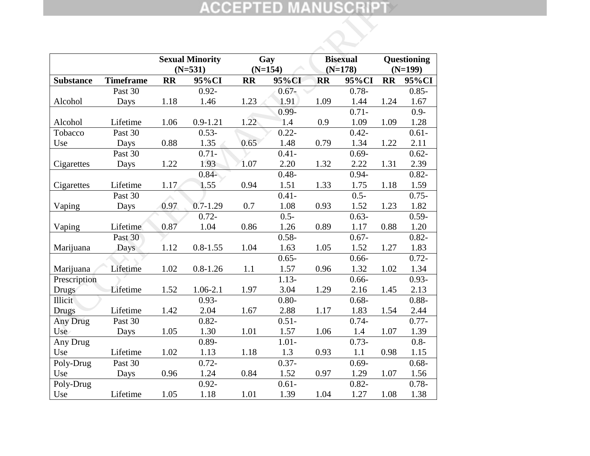|                  |                  |           |                        |           | <b>ACCEPTED MANUSCRIPT</b> |           |                    |           |                    |
|------------------|------------------|-----------|------------------------|-----------|----------------------------|-----------|--------------------|-----------|--------------------|
|                  |                  |           |                        |           |                            |           |                    |           |                    |
|                  |                  |           | <b>Sexual Minority</b> |           | Gay                        |           | <b>Bisexual</b>    |           | Questioning        |
| <b>Substance</b> | <b>Timeframe</b> | <b>RR</b> | $(N=531)$<br>95%CI     | <b>RR</b> | $(N=154)$<br>95%CI         | <b>RR</b> | $(N=178)$<br>95%CI | <b>RR</b> | $(N=199)$<br>95%CI |
|                  | Past 30          |           | $0.92 -$               |           | $0.67 -$                   |           | $0.78 -$           |           | $0.85 -$           |
| Alcohol          | Days             | 1.18      | 1.46                   | 1.23      | 1.91                       | 1.09      | 1.44               | 1.24      | 1.67               |
|                  |                  |           |                        |           | $0.99 -$                   |           | $0.71 -$           |           | $0.9 -$            |
| Alcohol          | Lifetime         | 1.06      | $0.9 - 1.21$           | 1.22      | 1.4                        | 0.9       | 1.09               | 1.09      | 1.28               |
| Tobacco          | Past 30          |           | $0.53 -$               |           | $0.22 -$                   |           | $0.42 -$           |           | $0.61 -$           |
| Use              | Days             | 0.88      | 1.35                   | 0.65      | 1.48                       | 0.79      | 1.34               | 1.22      | 2.11               |
|                  | Past 30          |           | $0.71 -$               |           | $0.41 -$                   |           | $0.69 -$           |           | $0.62 -$           |
| Cigarettes       | Days             | 1.22      | 1.93                   | 1.07      | 2.20                       | 1.32      | 2.22               | 1.31      | 2.39               |
|                  |                  |           | $0.84 -$               |           | $0.48 -$                   |           | $0.94 -$           |           | $0.82 -$           |
| Cigarettes       | Lifetime         | 1.17      | 1.55                   | 0.94      | 1.51                       | 1.33      | 1.75               | 1.18      | 1.59               |
|                  | Past 30          |           |                        |           | $0.41 -$                   |           | $0.5 -$            |           | $0.75 -$           |
| Vaping           | Days             | 0.97      | $0.7 - 1.29$           | 0.7       | 1.08                       | 0.93      | 1.52               | 1.23      | 1.82               |
|                  |                  |           | $0.72 -$               |           | $0.5 -$                    |           | $0.63 -$           |           | $0.59 -$           |
| Vaping           | Lifetime         | 0.87      | 1.04                   | 0.86      | 1.26                       | 0.89      | 1.17               | 0.88      | 1.20               |
|                  | Past 30          |           |                        |           | $0.58 -$                   |           | $0.67 -$           |           | $0.82 -$           |
| Marijuana        | Days             | 1.12      | $0.8 - 1.55$           | 1.04      | 1.63                       | 1.05      | 1.52               | 1.27      | 1.83               |
|                  |                  |           |                        |           | $0.65 -$                   |           | $0.66 -$           |           | $0.72 -$           |
| Marijuana        | Lifetime         | 1.02      | $0.8 - 1.26$           | 1.1       | 1.57                       | 0.96      | 1.32               | 1.02      | 1.34               |
| Prescription     |                  |           |                        |           | $1.13-$                    |           | $0.66 -$           |           | $0.93 -$           |
| <b>Drugs</b>     | Lifetime         | 1.52      | 1.06-2.1               | 1.97      | 3.04                       | 1.29      | 2.16               | 1.45      | 2.13               |
| Illicit          |                  |           | $0.93 -$               |           | $0.80 -$                   |           | $0.68 -$           |           | $0.88 -$           |
| Drugs            | Lifetime         | 1.42      | 2.04                   | 1.67      | 2.88                       | 1.17      | 1.83               | 1.54      | 2.44               |
| Any Drug         | Past 30          |           | $0.82 -$               |           | $0.51 -$                   |           | $0.74 -$           |           | $0.77 -$           |
| Use              | Days             | 1.05      | 1.30                   | 1.01      | 1.57                       | 1.06      | 1.4                | 1.07      | 1.39               |
| Any Drug         |                  |           | $0.89 -$               |           | $1.01 -$                   |           | $0.73-$            |           | $0.8 -$            |
| Use              | Lifetime         | 1.02      | 1.13                   | 1.18      | 1.3                        | 0.93      | 1.1                | 0.98      | 1.15               |
| Poly-Drug<br>Use | Past 30          | 0.96      | $0.72 -$               | 0.84      | $0.37 -$<br>1.52           | 0.97      | $0.69 -$           |           | $0.68 -$           |
| Poly-Drug        | Days             |           | 1.24<br>$0.92 -$       |           | $0.61 -$                   |           | 1.29<br>$0.82 -$   | 1.07      | 1.56<br>$0.78 -$   |
| Use              | Lifetime         | 1.05      | 1.18                   | 1.01      | 1.39                       | 1.04      | 1.27               | 1.08      | 1.38               |
|                  |                  |           |                        |           |                            |           |                    |           |                    |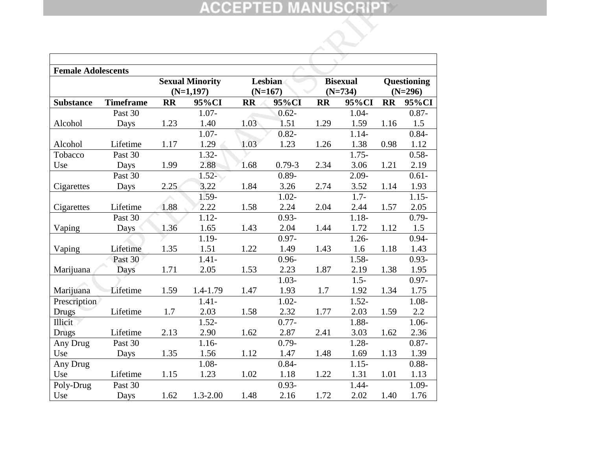|                           |                  |           |                        |           | ACCEPTED MANUSCRIPT |           |                 |           |             |
|---------------------------|------------------|-----------|------------------------|-----------|---------------------|-----------|-----------------|-----------|-------------|
|                           |                  |           |                        |           |                     |           |                 |           |             |
|                           |                  |           |                        |           |                     |           |                 |           |             |
|                           |                  |           |                        |           |                     |           |                 |           |             |
| <b>Female Adolescents</b> |                  |           |                        |           |                     |           |                 |           |             |
|                           |                  |           | <b>Sexual Minority</b> |           | Lesbian             |           | <b>Bisexual</b> |           | Questioning |
|                           |                  |           | $(N=1,197)$            |           | $(N=167)$           |           | $(N=734)$       |           | $(N=296)$   |
| <b>Substance</b>          | <b>Timeframe</b> | <b>RR</b> | 95%CI                  | <b>RR</b> | 95%CI               | <b>RR</b> | 95%CI           | <b>RR</b> | 95%CI       |
|                           | Past 30          |           | $1.07 -$               |           | $0.62 -$            |           | $1.04 -$        |           | $0.87 -$    |
| Alcohol                   | Days             | 1.23      | 1.40                   | 1.03      | 1.51                | 1.29      | 1.59            | 1.16      | 1.5         |
|                           |                  |           | $1.07 -$               |           | $0.82 -$            |           | $1.14-$         |           | $0.84 -$    |
| Alcohol                   | Lifetime         | 1.17      | 1.29                   | 1.03      | 1.23                | 1.26      | 1.38            | 0.98      | 1.12        |
| Tobacco                   | Past 30          |           | $1.32 -$               |           |                     |           | $1.75 -$        |           | $0.58 -$    |
| Use                       | Days             | 1.99      | 2.88                   | 1.68      | $0.79 - 3$          | 2.34      | 3.06            | 1.21      | 2.19        |
|                           | Past 30          |           | $1.52 -$               |           | $0.89 -$            |           | $2.09 -$        |           | $0.61 -$    |
| Cigarettes                | Days             | 2.25      | 3.22                   | 1.84      | 3.26                | 2.74      | 3.52            | 1.14      | 1.93        |
|                           |                  |           | 1.59-                  |           | $1.02 -$            |           | $1.7-$          |           | $1.15 -$    |
| Cigarettes                | Lifetime         | 1.88      | 2.22                   | 1.58      | 2.24                | 2.04      | 2.44            | 1.57      | 2.05        |
|                           | Past 30          |           | $1.12 -$               |           | $0.93 -$            |           | $1.18 -$        |           | $0.79 -$    |
| Vaping                    | Days             | 1.36      | 1.65                   | 1.43      | 2.04                | 1.44      | 1.72            | 1.12      | 1.5         |
|                           |                  |           | 1.19-                  |           | $0.97 -$            |           | $1.26 -$        |           | $0.94 -$    |
| Vaping                    | Lifetime         | 1.35      | 1.51                   | 1.22      | 1.49                | 1.43      | 1.6             | 1.18      | 1.43        |
|                           | Past 30          |           | $1.41 -$               |           | $0.96 -$            |           | $1.58 -$        |           | $0.93 -$    |
| Marijuana                 | Days             | 1.71      | 2.05                   | 1.53      | 2.23                | 1.87      | 2.19            | 1.38      | 1.95        |
|                           |                  |           |                        |           | $1.03 -$            |           | $1.5 -$         |           | $0.97 -$    |
| Marijuana                 | Lifetime         | 1.59      | 1.4-1.79               | 1.47      | 1.93                | 1.7       | 1.92            | 1.34      | 1.75        |
| Prescription              |                  |           | $1.41 -$               |           | $1.02 -$            |           | $1.52 -$        |           | 1.08-       |
| Drugs                     | Lifetime         | 1.7       | 2.03                   | 1.58      | 2.32                | 1.77      | 2.03            | 1.59      | 2.2         |
| Illicit                   |                  |           | $1.52 -$               |           | $0.77 -$            |           | 1.88-           |           | $1.06 -$    |
| <b>Drugs</b>              | Lifetime         | 2.13      | 2.90                   | 1.62      | 2.87                | 2.41      | 3.03            | 1.62      | 2.36        |
| Any Drug                  | Past 30          |           | $1.16-$                |           | $0.79 -$            |           | $1.28 -$        |           | $0.87 -$    |
| Use                       | Days             | 1.35      | 1.56                   | 1.12      | 1.47                | 1.48      | 1.69            | 1.13      | 1.39        |
| Any Drug                  |                  |           | 1.08-                  |           | $0.84 -$            |           | $1.15 -$        |           | $0.88 -$    |
| Use                       | Lifetime         | 1.15      | 1.23                   | 1.02      | 1.18                | 1.22      | 1.31            | 1.01      | 1.13        |
| Poly-Drug                 | Past 30          |           |                        |           | $0.93 -$            |           | 1.44-           |           | 1.09-       |
| Use                       | Days             | 1.62      | 1.3-2.00               | 1.48      | 2.16                | 1.72      | 2.02            | 1.40      | 1.76        |